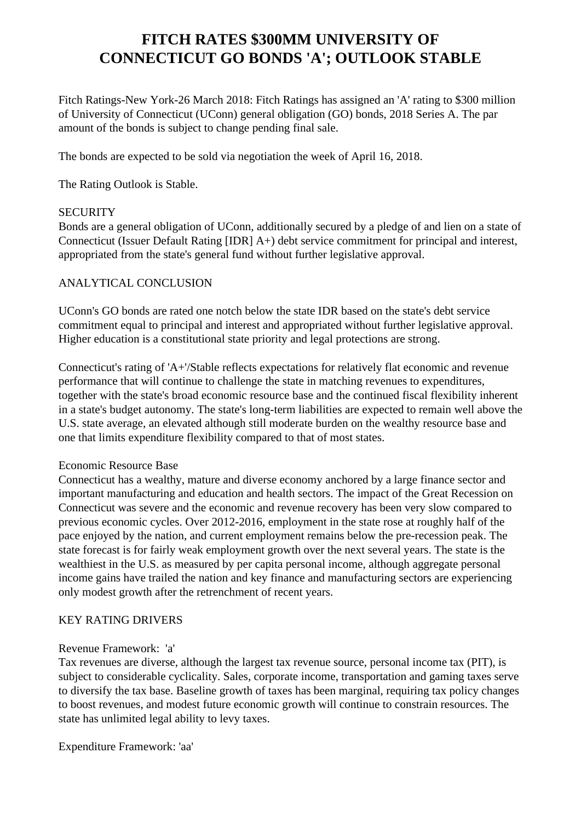# **FITCH RATES \$300MM UNIVERSITY OF CONNECTICUT GO BONDS 'A'; OUTLOOK STABLE**

 Fitch Ratings-New York-26 March 2018: Fitch Ratings has assigned an 'A' rating to \$300 million of University of Connecticut (UConn) general obligation (GO) bonds, 2018 Series A. The par amount of the bonds is subject to change pending final sale.

The bonds are expected to be sold via negotiation the week of April 16, 2018.

The Rating Outlook is Stable.

#### **SECURITY**

 Bonds are a general obligation of UConn, additionally secured by a pledge of and lien on a state of Connecticut (Issuer Default Rating [IDR] A+) debt service commitment for principal and interest, appropriated from the state's general fund without further legislative approval.

#### ANALYTICAL CONCLUSION

 UConn's GO bonds are rated one notch below the state IDR based on the state's debt service commitment equal to principal and interest and appropriated without further legislative approval. Higher education is a constitutional state priority and legal protections are strong.

 Connecticut's rating of 'A+'/Stable reflects expectations for relatively flat economic and revenue performance that will continue to challenge the state in matching revenues to expenditures, together with the state's broad economic resource base and the continued fiscal flexibility inherent in a state's budget autonomy. The state's long-term liabilities are expected to remain well above the U.S. state average, an elevated although still moderate burden on the wealthy resource base and one that limits expenditure flexibility compared to that of most states.

#### Economic Resource Base

 Connecticut has a wealthy, mature and diverse economy anchored by a large finance sector and important manufacturing and education and health sectors. The impact of the Great Recession on Connecticut was severe and the economic and revenue recovery has been very slow compared to previous economic cycles. Over 2012-2016, employment in the state rose at roughly half of the pace enjoyed by the nation, and current employment remains below the pre-recession peak. The state forecast is for fairly weak employment growth over the next several years. The state is the wealthiest in the U.S. as measured by per capita personal income, although aggregate personal income gains have trailed the nation and key finance and manufacturing sectors are experiencing only modest growth after the retrenchment of recent years.

## KEY RATING DRIVERS

#### Revenue Framework: 'a'

 Tax revenues are diverse, although the largest tax revenue source, personal income tax (PIT), is subject to considerable cyclicality. Sales, corporate income, transportation and gaming taxes serve to diversify the tax base. Baseline growth of taxes has been marginal, requiring tax policy changes to boost revenues, and modest future economic growth will continue to constrain resources. The state has unlimited legal ability to levy taxes.

Expenditure Framework: 'aa'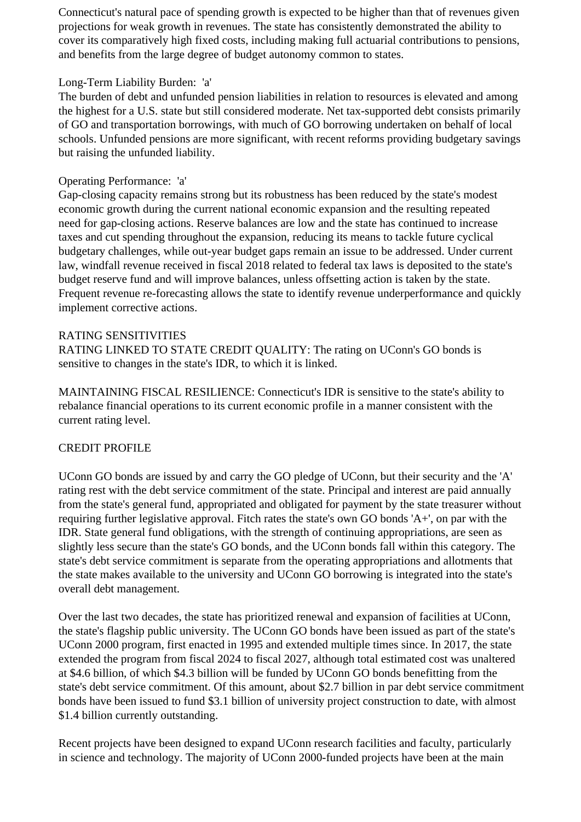Connecticut's natural pace of spending growth is expected to be higher than that of revenues given projections for weak growth in revenues. The state has consistently demonstrated the ability to cover its comparatively high fixed costs, including making full actuarial contributions to pensions, and benefits from the large degree of budget autonomy common to states.

## Long-Term Liability Burden: 'a'

 The burden of debt and unfunded pension liabilities in relation to resources is elevated and among the highest for a U.S. state but still considered moderate. Net tax-supported debt consists primarily of GO and transportation borrowings, with much of GO borrowing undertaken on behalf of local schools. Unfunded pensions are more significant, with recent reforms providing budgetary savings but raising the unfunded liability.

## Operating Performance: 'a'

 Gap-closing capacity remains strong but its robustness has been reduced by the state's modest economic growth during the current national economic expansion and the resulting repeated need for gap-closing actions. Reserve balances are low and the state has continued to increase taxes and cut spending throughout the expansion, reducing its means to tackle future cyclical budgetary challenges, while out-year budget gaps remain an issue to be addressed. Under current law, windfall revenue received in fiscal 2018 related to federal tax laws is deposited to the state's budget reserve fund and will improve balances, unless offsetting action is taken by the state. Frequent revenue re-forecasting allows the state to identify revenue underperformance and quickly implement corrective actions.

#### RATING SENSITIVITIES

 RATING LINKED TO STATE CREDIT QUALITY: The rating on UConn's GO bonds is sensitive to changes in the state's IDR, to which it is linked.

 MAINTAINING FISCAL RESILIENCE: Connecticut's IDR is sensitive to the state's ability to rebalance financial operations to its current economic profile in a manner consistent with the current rating level.

## CREDIT PROFILE

 UConn GO bonds are issued by and carry the GO pledge of UConn, but their security and the 'A' rating rest with the debt service commitment of the state. Principal and interest are paid annually from the state's general fund, appropriated and obligated for payment by the state treasurer without requiring further legislative approval. Fitch rates the state's own GO bonds 'A+', on par with the IDR. State general fund obligations, with the strength of continuing appropriations, are seen as slightly less secure than the state's GO bonds, and the UConn bonds fall within this category. The state's debt service commitment is separate from the operating appropriations and allotments that the state makes available to the university and UConn GO borrowing is integrated into the state's overall debt management.

 Over the last two decades, the state has prioritized renewal and expansion of facilities at UConn, the state's flagship public university. The UConn GO bonds have been issued as part of the state's UConn 2000 program, first enacted in 1995 and extended multiple times since. In 2017, the state extended the program from fiscal 2024 to fiscal 2027, although total estimated cost was unaltered at \$4.6 billion, of which \$4.3 billion will be funded by UConn GO bonds benefitting from the state's debt service commitment. Of this amount, about \$2.7 billion in par debt service commitment bonds have been issued to fund \$3.1 billion of university project construction to date, with almost \$1.4 billion currently outstanding.

 Recent projects have been designed to expand UConn research facilities and faculty, particularly in science and technology. The majority of UConn 2000-funded projects have been at the main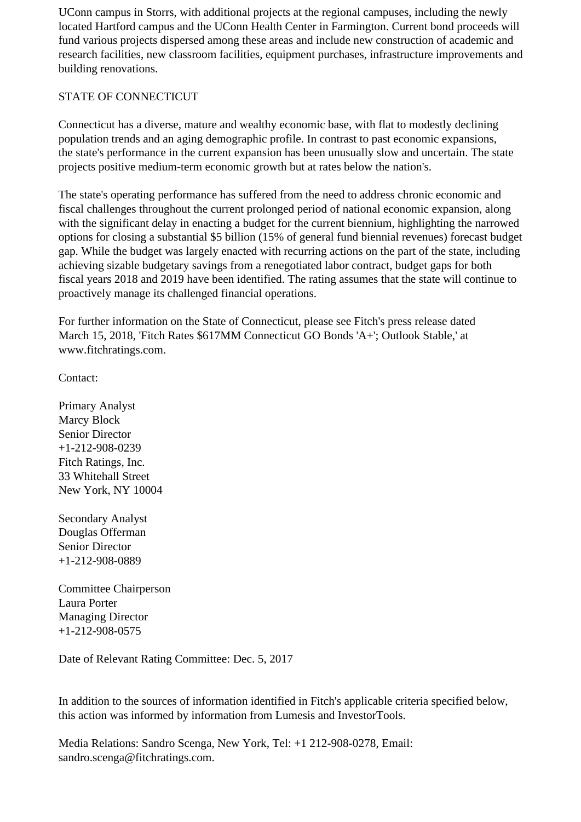UConn campus in Storrs, with additional projects at the regional campuses, including the newly located Hartford campus and the UConn Health Center in Farmington. Current bond proceeds will fund various projects dispersed among these areas and include new construction of academic and research facilities, new classroom facilities, equipment purchases, infrastructure improvements and building renovations.

# STATE OF CONNECTICUT

 Connecticut has a diverse, mature and wealthy economic base, with flat to modestly declining population trends and an aging demographic profile. In contrast to past economic expansions, the state's performance in the current expansion has been unusually slow and uncertain. The state projects positive medium-term economic growth but at rates below the nation's.

 The state's operating performance has suffered from the need to address chronic economic and fiscal challenges throughout the current prolonged period of national economic expansion, along with the significant delay in enacting a budget for the current biennium, highlighting the narrowed options for closing a substantial \$5 billion (15% of general fund biennial revenues) forecast budget gap. While the budget was largely enacted with recurring actions on the part of the state, including achieving sizable budgetary savings from a renegotiated labor contract, budget gaps for both fiscal years 2018 and 2019 have been identified. The rating assumes that the state will continue to proactively manage its challenged financial operations.

 For further information on the State of Connecticut, please see Fitch's press release dated March 15, 2018, 'Fitch Rates \$617MM Connecticut GO Bonds 'A+'; Outlook Stable,' at www.fitchratings.com.

Contact:

 Primary Analyst Marcy Block Senior Director +1-212-908-0239 Fitch Ratings, Inc. 33 Whitehall Street New York, NY 10004

 Secondary Analyst Douglas Offerman Senior Director +1-212-908-0889

 Committee Chairperson Laura Porter Managing Director +1-212-908-0575

Date of Relevant Rating Committee: Dec. 5, 2017

 In addition to the sources of information identified in Fitch's applicable criteria specified below, this action was informed by information from Lumesis and InvestorTools.

 Media Relations: Sandro Scenga, New York, Tel: +1 212-908-0278, Email: sandro.scenga@fitchratings.com.